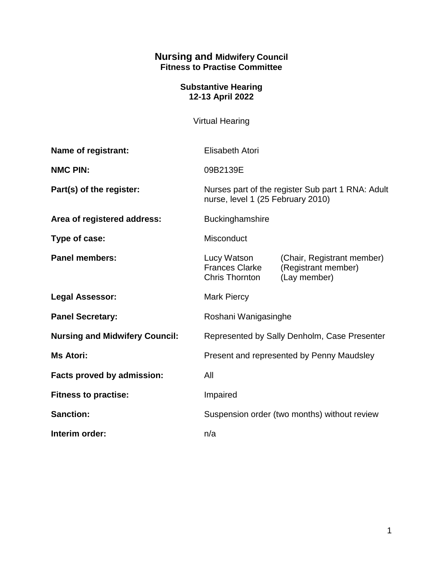## **Nursing and Midwifery Council Fitness to Practise Committee**

### **Substantive Hearing 12-13 April 2022**

Virtual Hearing

| Name of registrant:                   | <b>Elisabeth Atori</b>                                                                 |                                                                   |
|---------------------------------------|----------------------------------------------------------------------------------------|-------------------------------------------------------------------|
| <b>NMC PIN:</b>                       | 09B2139E                                                                               |                                                                   |
| Part(s) of the register:              | Nurses part of the register Sub part 1 RNA: Adult<br>nurse, level 1 (25 February 2010) |                                                                   |
| Area of registered address:           | <b>Buckinghamshire</b>                                                                 |                                                                   |
| Type of case:                         | Misconduct                                                                             |                                                                   |
| <b>Panel members:</b>                 | Lucy Watson<br><b>Frances Clarke</b><br><b>Chris Thornton</b>                          | (Chair, Registrant member)<br>(Registrant member)<br>(Lay member) |
| <b>Legal Assessor:</b>                | <b>Mark Piercy</b>                                                                     |                                                                   |
| <b>Panel Secretary:</b>               | Roshani Wanigasinghe                                                                   |                                                                   |
| <b>Nursing and Midwifery Council:</b> | Represented by Sally Denholm, Case Presenter                                           |                                                                   |
| <b>Ms Atori:</b>                      | Present and represented by Penny Maudsley                                              |                                                                   |
| Facts proved by admission:            | All                                                                                    |                                                                   |
| <b>Fitness to practise:</b>           | Impaired                                                                               |                                                                   |
| <b>Sanction:</b>                      | Suspension order (two months) without review                                           |                                                                   |
| Interim order:                        | n/a                                                                                    |                                                                   |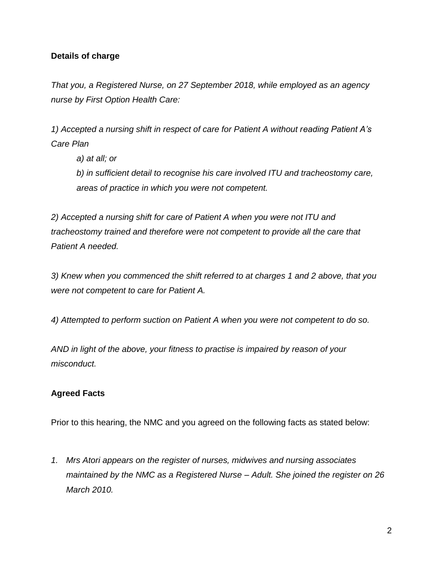# **Details of charge**

*That you, a Registered Nurse, on 27 September 2018, while employed as an agency nurse by First Option Health Care:*

*1) Accepted a nursing shift in respect of care for Patient A without reading Patient A's Care Plan*

*a) at all; or*

*b) in sufficient detail to recognise his care involved ITU and tracheostomy care, areas of practice in which you were not competent.*

*2) Accepted a nursing shift for care of Patient A when you were not ITU and tracheostomy trained and therefore were not competent to provide all the care that Patient A needed.*

*3) Knew when you commenced the shift referred to at charges 1 and 2 above, that you were not competent to care for Patient A.*

*4) Attempted to perform suction on Patient A when you were not competent to do so.*

*AND in light of the above, your fitness to practise is impaired by reason of your misconduct.*

# **Agreed Facts**

Prior to this hearing, the NMC and you agreed on the following facts as stated below:

*1. Mrs Atori appears on the register of nurses, midwives and nursing associates maintained by the NMC as a Registered Nurse – Adult. She joined the register on 26 March 2010.*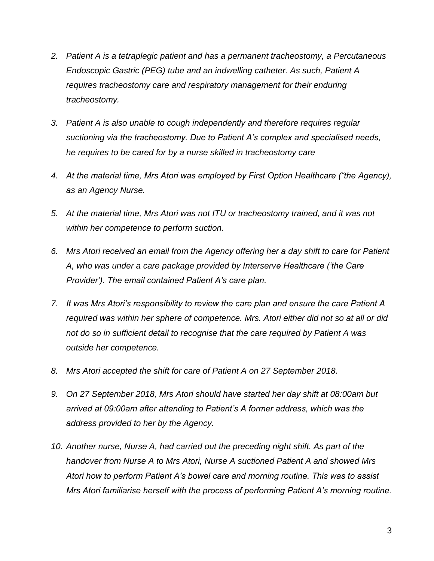- *2. Patient A is a tetraplegic patient and has a permanent tracheostomy, a Percutaneous Endoscopic Gastric (PEG) tube and an indwelling catheter. As such, Patient A requires tracheostomy care and respiratory management for their enduring tracheostomy.*
- *3. Patient A is also unable to cough independently and therefore requires regular suctioning via the tracheostomy. Due to Patient A's complex and specialised needs, he requires to be cared for by a nurse skilled in tracheostomy care*
- *4. At the material time, Mrs Atori was employed by First Option Healthcare ("the Agency), as an Agency Nurse.*
- *5. At the material time, Mrs Atori was not ITU or tracheostomy trained, and it was not within her competence to perform suction.*
- *6. Mrs Atori received an email from the Agency offering her a day shift to care for Patient A, who was under a care package provided by Interserve Healthcare ('the Care Provider'). The email contained Patient A's care plan.*
- *7. It was Mrs Atori's responsibility to review the care plan and ensure the care Patient A required was within her sphere of competence. Mrs. Atori either did not so at all or did not do so in sufficient detail to recognise that the care required by Patient A was outside her competence.*
- *8. Mrs Atori accepted the shift for care of Patient A on 27 September 2018.*
- *9. On 27 September 2018, Mrs Atori should have started her day shift at 08:00am but arrived at 09:00am after attending to Patient's A former address, which was the address provided to her by the Agency.*
- *10. Another nurse, Nurse A, had carried out the preceding night shift. As part of the handover from Nurse A to Mrs Atori, Nurse A suctioned Patient A and showed Mrs Atori how to perform Patient A's bowel care and morning routine. This was to assist Mrs Atori familiarise herself with the process of performing Patient A's morning routine.*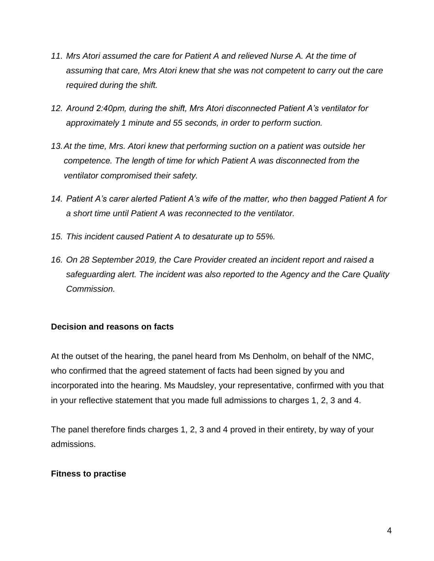- 11. Mrs Atori assumed the care for Patient A and relieved Nurse A. At the time of *assuming that care, Mrs Atori knew that she was not competent to carry out the care required during the shift.*
- *12. Around 2:40pm, during the shift, Mrs Atori disconnected Patient A's ventilator for approximately 1 minute and 55 seconds, in order to perform suction.*
- *13.At the time, Mrs. Atori knew that performing suction on a patient was outside her competence. The length of time for which Patient A was disconnected from the ventilator compromised their safety.*
- *14. Patient A's carer alerted Patient A's wife of the matter, who then bagged Patient A for a short time until Patient A was reconnected to the ventilator.*
- *15. This incident caused Patient A to desaturate up to 55%.*
- *16. On 28 September 2019, the Care Provider created an incident report and raised a safeguarding alert. The incident was also reported to the Agency and the Care Quality Commission.*

# **Decision and reasons on facts**

At the outset of the hearing, the panel heard from Ms Denholm, on behalf of the NMC, who confirmed that the agreed statement of facts had been signed by you and incorporated into the hearing. Ms Maudsley, your representative, confirmed with you that in your reflective statement that you made full admissions to charges 1, 2, 3 and 4.

The panel therefore finds charges 1, 2, 3 and 4 proved in their entirety, by way of your admissions.

## **Fitness to practise**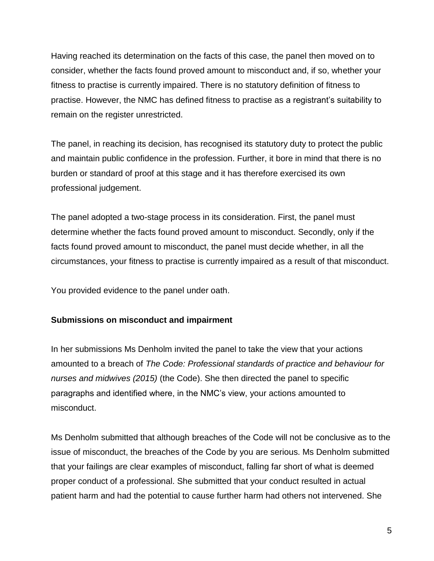Having reached its determination on the facts of this case, the panel then moved on to consider, whether the facts found proved amount to misconduct and, if so, whether your fitness to practise is currently impaired. There is no statutory definition of fitness to practise. However, the NMC has defined fitness to practise as a registrant's suitability to remain on the register unrestricted.

The panel, in reaching its decision, has recognised its statutory duty to protect the public and maintain public confidence in the profession. Further, it bore in mind that there is no burden or standard of proof at this stage and it has therefore exercised its own professional judgement.

The panel adopted a two-stage process in its consideration. First, the panel must determine whether the facts found proved amount to misconduct. Secondly, only if the facts found proved amount to misconduct, the panel must decide whether, in all the circumstances, your fitness to practise is currently impaired as a result of that misconduct.

You provided evidence to the panel under oath.

## **Submissions on misconduct and impairment**

In her submissions Ms Denholm invited the panel to take the view that your actions amounted to a breach of *The Code: Professional standards of practice and behaviour for nurses and midwives (2015)* (the Code). She then directed the panel to specific paragraphs and identified where, in the NMC's view, your actions amounted to misconduct.

Ms Denholm submitted that although breaches of the Code will not be conclusive as to the issue of misconduct, the breaches of the Code by you are serious. Ms Denholm submitted that your failings are clear examples of misconduct, falling far short of what is deemed proper conduct of a professional. She submitted that your conduct resulted in actual patient harm and had the potential to cause further harm had others not intervened. She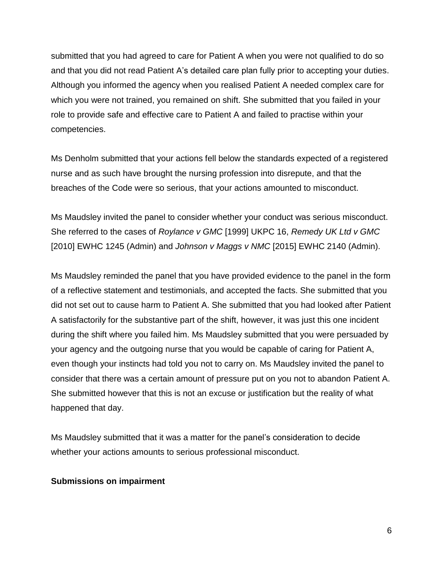submitted that you had agreed to care for Patient A when you were not qualified to do so and that you did not read Patient A's detailed care plan fully prior to accepting your duties. Although you informed the agency when you realised Patient A needed complex care for which you were not trained, you remained on shift. She submitted that you failed in your role to provide safe and effective care to Patient A and failed to practise within your competencies.

Ms Denholm submitted that your actions fell below the standards expected of a registered nurse and as such have brought the nursing profession into disrepute, and that the breaches of the Code were so serious, that your actions amounted to misconduct.

Ms Maudsley invited the panel to consider whether your conduct was serious misconduct. She referred to the cases of *Roylance v GMC* [1999] UKPC 16, *Remedy UK Ltd v GMC* [2010] EWHC 1245 (Admin) and *Johnson v Maggs v NMC* [2015] EWHC 2140 (Admin).

Ms Maudsley reminded the panel that you have provided evidence to the panel in the form of a reflective statement and testimonials, and accepted the facts. She submitted that you did not set out to cause harm to Patient A. She submitted that you had looked after Patient A satisfactorily for the substantive part of the shift, however, it was just this one incident during the shift where you failed him. Ms Maudsley submitted that you were persuaded by your agency and the outgoing nurse that you would be capable of caring for Patient A, even though your instincts had told you not to carry on. Ms Maudsley invited the panel to consider that there was a certain amount of pressure put on you not to abandon Patient A. She submitted however that this is not an excuse or justification but the reality of what happened that day.

Ms Maudsley submitted that it was a matter for the panel's consideration to decide whether your actions amounts to serious professional misconduct.

## **Submissions on impairment**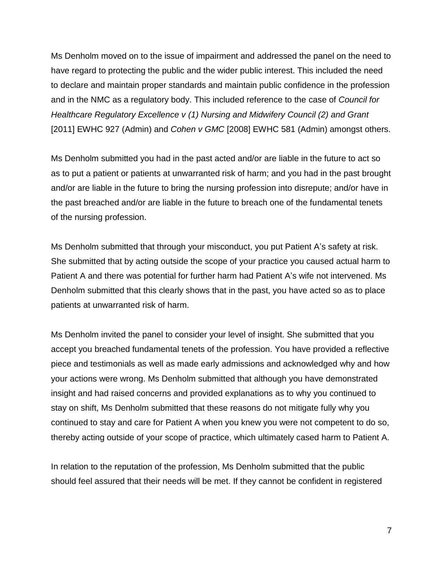Ms Denholm moved on to the issue of impairment and addressed the panel on the need to have regard to protecting the public and the wider public interest. This included the need to declare and maintain proper standards and maintain public confidence in the profession and in the NMC as a regulatory body. This included reference to the case of *Council for Healthcare Regulatory Excellence v (1) Nursing and Midwifery Council (2) and Grant*  [2011] EWHC 927 (Admin) and *Cohen v GMC* [2008] EWHC 581 (Admin) amongst others.

Ms Denholm submitted you had in the past acted and/or are liable in the future to act so as to put a patient or patients at unwarranted risk of harm; and you had in the past brought and/or are liable in the future to bring the nursing profession into disrepute; and/or have in the past breached and/or are liable in the future to breach one of the fundamental tenets of the nursing profession.

Ms Denholm submitted that through your misconduct, you put Patient A's safety at risk. She submitted that by acting outside the scope of your practice you caused actual harm to Patient A and there was potential for further harm had Patient A's wife not intervened. Ms Denholm submitted that this clearly shows that in the past, you have acted so as to place patients at unwarranted risk of harm.

Ms Denholm invited the panel to consider your level of insight. She submitted that you accept you breached fundamental tenets of the profession. You have provided a reflective piece and testimonials as well as made early admissions and acknowledged why and how your actions were wrong. Ms Denholm submitted that although you have demonstrated insight and had raised concerns and provided explanations as to why you continued to stay on shift, Ms Denholm submitted that these reasons do not mitigate fully why you continued to stay and care for Patient A when you knew you were not competent to do so, thereby acting outside of your scope of practice, which ultimately cased harm to Patient A.

In relation to the reputation of the profession, Ms Denholm submitted that the public should feel assured that their needs will be met. If they cannot be confident in registered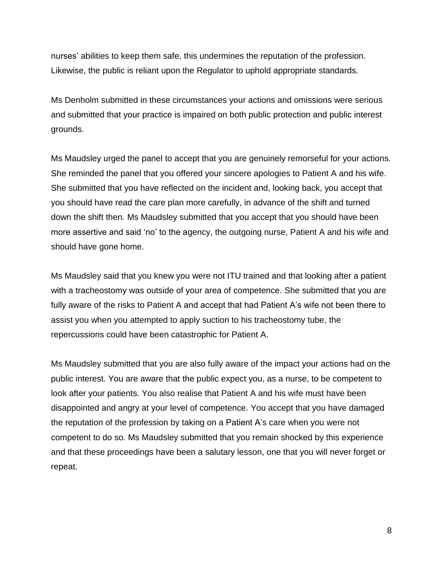nurses' abilities to keep them safe, this undermines the reputation of the profession. Likewise, the public is reliant upon the Regulator to uphold appropriate standards.

Ms Denholm submitted in these circumstances your actions and omissions were serious and submitted that your practice is impaired on both public protection and public interest grounds.

Ms Maudsley urged the panel to accept that you are genuinely remorseful for your actions. She reminded the panel that you offered your sincere apologies to Patient A and his wife. She submitted that you have reflected on the incident and, looking back, you accept that you should have read the care plan more carefully, in advance of the shift and turned down the shift then. Ms Maudsley submitted that you accept that you should have been more assertive and said 'no' to the agency, the outgoing nurse, Patient A and his wife and should have gone home.

Ms Maudsley said that you knew you were not ITU trained and that looking after a patient with a tracheostomy was outside of your area of competence. She submitted that you are fully aware of the risks to Patient A and accept that had Patient A's wife not been there to assist you when you attempted to apply suction to his tracheostomy tube, the repercussions could have been catastrophic for Patient A.

Ms Maudsley submitted that you are also fully aware of the impact your actions had on the public interest. You are aware that the public expect you, as a nurse, to be competent to look after your patients. You also realise that Patient A and his wife must have been disappointed and angry at your level of competence. You accept that you have damaged the reputation of the profession by taking on a Patient A's care when you were not competent to do so. Ms Maudsley submitted that you remain shocked by this experience and that these proceedings have been a salutary lesson, one that you will never forget or repeat.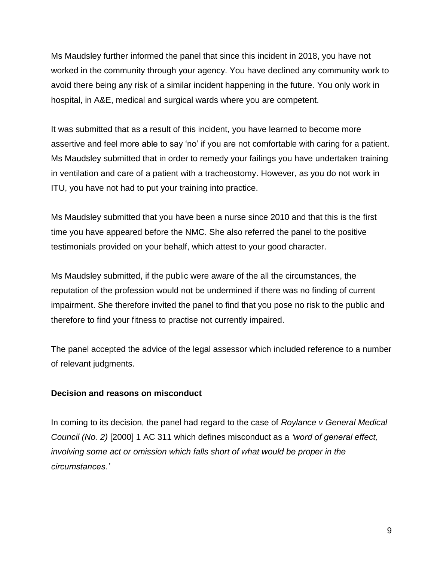Ms Maudsley further informed the panel that since this incident in 2018, you have not worked in the community through your agency. You have declined any community work to avoid there being any risk of a similar incident happening in the future. You only work in hospital, in A&E, medical and surgical wards where you are competent.

It was submitted that as a result of this incident, you have learned to become more assertive and feel more able to say 'no' if you are not comfortable with caring for a patient. Ms Maudsley submitted that in order to remedy your failings you have undertaken training in ventilation and care of a patient with a tracheostomy. However, as you do not work in ITU, you have not had to put your training into practice.

Ms Maudsley submitted that you have been a nurse since 2010 and that this is the first time you have appeared before the NMC. She also referred the panel to the positive testimonials provided on your behalf, which attest to your good character.

Ms Maudsley submitted, if the public were aware of the all the circumstances, the reputation of the profession would not be undermined if there was no finding of current impairment. She therefore invited the panel to find that you pose no risk to the public and therefore to find your fitness to practise not currently impaired.

The panel accepted the advice of the legal assessor which included reference to a number of relevant judgments.

## **Decision and reasons on misconduct**

In coming to its decision, the panel had regard to the case of *Roylance v General Medical Council (No. 2)* [2000] 1 AC 311 which defines misconduct as a *'word of general effect, involving some act or omission which falls short of what would be proper in the circumstances.'*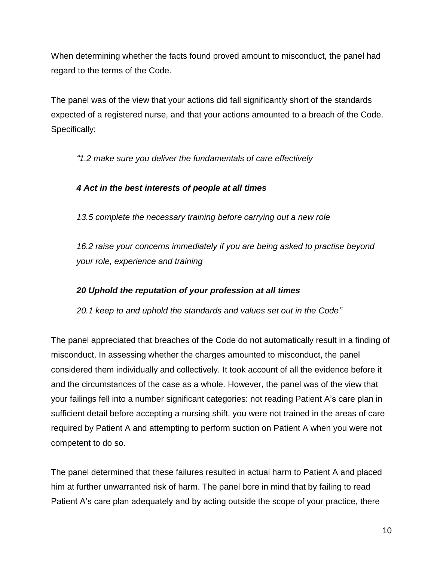When determining whether the facts found proved amount to misconduct, the panel had regard to the terms of the Code.

The panel was of the view that your actions did fall significantly short of the standards expected of a registered nurse, and that your actions amounted to a breach of the Code. Specifically:

*"1.2 make sure you deliver the fundamentals of care effectively*

# *4 Act in the best interests of people at all times*

*13.5 complete the necessary training before carrying out a new role*

*16.2 raise your concerns immediately if you are being asked to practise beyond your role, experience and training*

# *20 Uphold the reputation of your profession at all times*

*20.1 keep to and uphold the standards and values set out in the Code"*

The panel appreciated that breaches of the Code do not automatically result in a finding of misconduct. In assessing whether the charges amounted to misconduct, the panel considered them individually and collectively. It took account of all the evidence before it and the circumstances of the case as a whole. However, the panel was of the view that your failings fell into a number significant categories: not reading Patient A's care plan in sufficient detail before accepting a nursing shift, you were not trained in the areas of care required by Patient A and attempting to perform suction on Patient A when you were not competent to do so.

The panel determined that these failures resulted in actual harm to Patient A and placed him at further unwarranted risk of harm. The panel bore in mind that by failing to read Patient A's care plan adequately and by acting outside the scope of your practice, there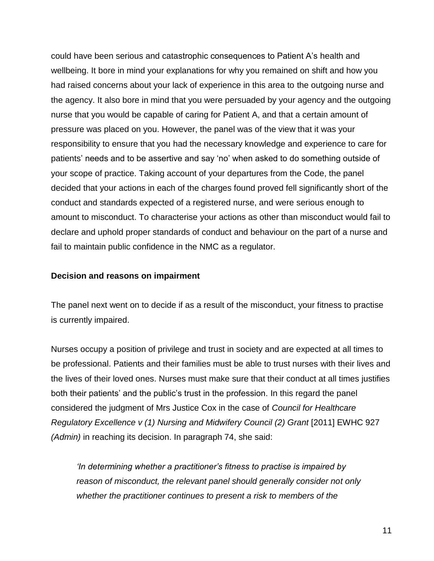could have been serious and catastrophic consequences to Patient A's health and wellbeing. It bore in mind your explanations for why you remained on shift and how you had raised concerns about your lack of experience in this area to the outgoing nurse and the agency. It also bore in mind that you were persuaded by your agency and the outgoing nurse that you would be capable of caring for Patient A, and that a certain amount of pressure was placed on you. However, the panel was of the view that it was your responsibility to ensure that you had the necessary knowledge and experience to care for patients' needs and to be assertive and say 'no' when asked to do something outside of your scope of practice. Taking account of your departures from the Code, the panel decided that your actions in each of the charges found proved fell significantly short of the conduct and standards expected of a registered nurse, and were serious enough to amount to misconduct. To characterise your actions as other than misconduct would fail to declare and uphold proper standards of conduct and behaviour on the part of a nurse and fail to maintain public confidence in the NMC as a regulator.

### **Decision and reasons on impairment**

The panel next went on to decide if as a result of the misconduct, your fitness to practise is currently impaired.

Nurses occupy a position of privilege and trust in society and are expected at all times to be professional. Patients and their families must be able to trust nurses with their lives and the lives of their loved ones. Nurses must make sure that their conduct at all times justifies both their patients' and the public's trust in the profession. In this regard the panel considered the judgment of Mrs Justice Cox in the case of *Council for Healthcare Regulatory Excellence v (1) Nursing and Midwifery Council (2) Grant* [2011] EWHC 927 *(Admin)* in reaching its decision. In paragraph 74, she said:

*'In determining whether a practitioner's fitness to practise is impaired by reason of misconduct, the relevant panel should generally consider not only whether the practitioner continues to present a risk to members of the*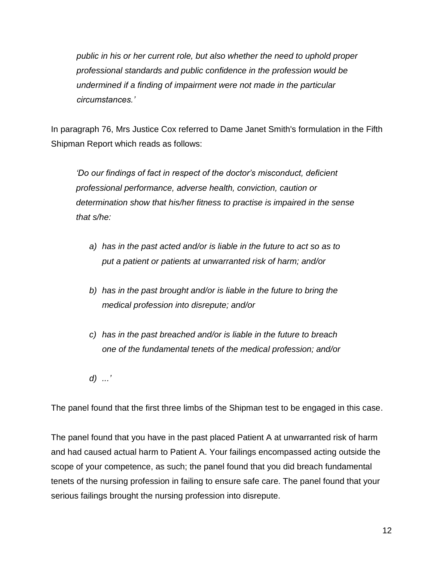*public in his or her current role, but also whether the need to uphold proper professional standards and public confidence in the profession would be undermined if a finding of impairment were not made in the particular circumstances.'*

In paragraph 76, Mrs Justice Cox referred to Dame Janet Smith's formulation in the Fifth Shipman Report which reads as follows:

*'Do our findings of fact in respect of the doctor's misconduct, deficient professional performance, adverse health, conviction, caution or determination show that his/her fitness to practise is impaired in the sense that s/he:*

- *a) has in the past acted and/or is liable in the future to act so as to put a patient or patients at unwarranted risk of harm; and/or*
- *b) has in the past brought and/or is liable in the future to bring the medical profession into disrepute; and/or*
- *c) has in the past breached and/or is liable in the future to breach one of the fundamental tenets of the medical profession; and/or*
- *d) ...'*

The panel found that the first three limbs of the Shipman test to be engaged in this case.

The panel found that you have in the past placed Patient A at unwarranted risk of harm and had caused actual harm to Patient A. Your failings encompassed acting outside the scope of your competence, as such; the panel found that you did breach fundamental tenets of the nursing profession in failing to ensure safe care. The panel found that your serious failings brought the nursing profession into disrepute.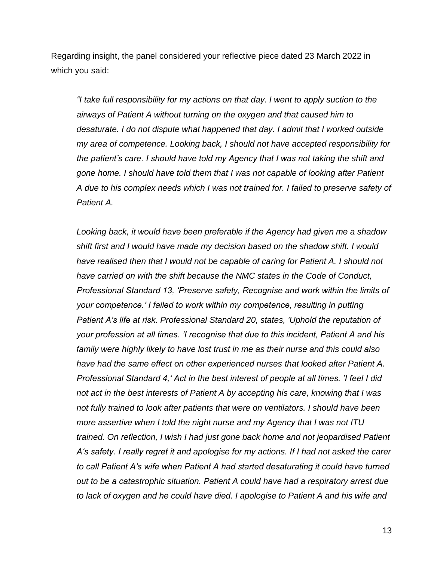Regarding insight, the panel considered your reflective piece dated 23 March 2022 in which you said:

*"I take full responsibility for my actions on that day. I went to apply suction to the airways of Patient A without turning on the oxygen and that caused him to desaturate. I do not dispute what happened that day. I admit that I worked outside my area of competence. Looking back, I should not have accepted responsibility for the patient's care. I should have told my Agency that I was not taking the shift and gone home. I should have told them that I was not capable of looking after Patient A due to his complex needs which I was not trained for. I failed to preserve safety of Patient A.*

*Looking back, it would have been preferable if the Agency had given me a shadow shift first and I would have made my decision based on the shadow shift. I would have realised then that I would not be capable of caring for Patient A. I should not have carried on with the shift because the NMC states in the Code of Conduct, Professional Standard 13, 'Preserve safety, Recognise and work within the limits of your competence.' I failed to work within my competence, resulting in putting Patient A's life at risk. Professional Standard 20, states, 'Uphold the reputation of your profession at all times. 'I recognise that due to this incident, Patient A and his family were highly likely to have lost trust in me as their nurse and this could also have had the same effect on other experienced nurses that looked after Patient A. Professional Standard 4,' Act in the best interest of people at all times. 'I feel I did not act in the best interests of Patient A by accepting his care, knowing that I was not fully trained to look after patients that were on ventilators. I should have been more assertive when I told the night nurse and my Agency that I was not ITU trained. On reflection, I wish I had just gone back home and not jeopardised Patient A's safety. I really regret it and apologise for my actions. If I had not asked the carer to call Patient A's wife when Patient A had started desaturating it could have turned out to be a catastrophic situation. Patient A could have had a respiratory arrest due*  to lack of oxygen and he could have died. I apologise to Patient A and his wife and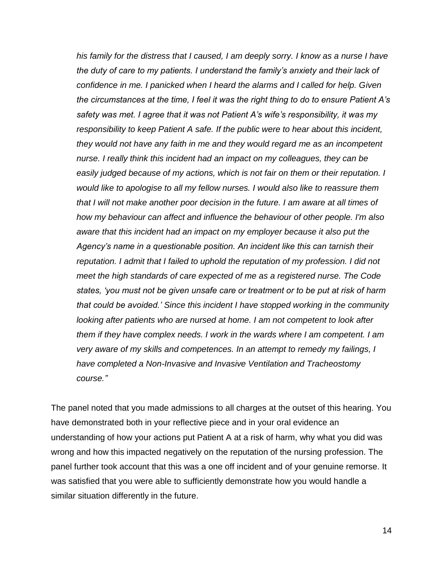*his family for the distress that I caused, I am deeply sorry. I know as a nurse I have the duty of care to my patients. I understand the family's anxiety and their lack of confidence in me. I panicked when I heard the alarms and I called for help. Given the circumstances at the time, I feel it was the right thing to do to ensure Patient A's safety was met. I agree that it was not Patient A's wife's responsibility, it was my responsibility to keep Patient A safe. If the public were to hear about this incident, they would not have any faith in me and they would regard me as an incompetent nurse. I really think this incident had an impact on my colleagues, they can be easily judged because of my actions, which is not fair on them or their reputation. I would like to apologise to all my fellow nurses. I would also like to reassure them that I will not make another poor decision in the future. I am aware at all times of how my behaviour can affect and influence the behaviour of other people. I'm also aware that this incident had an impact on my employer because it also put the Agency's name in a questionable position. An incident like this can tarnish their reputation. I admit that I failed to uphold the reputation of my profession. I did not meet the high standards of care expected of me as a registered nurse. The Code states, 'you must not be given unsafe care or treatment or to be put at risk of harm that could be avoided.' Since this incident I have stopped working in the community looking after patients who are nursed at home. I am not competent to look after them if they have complex needs. I work in the wards where I am competent. I am very aware of my skills and competences. In an attempt to remedy my failings, I have completed a Non-Invasive and Invasive Ventilation and Tracheostomy course."*

The panel noted that you made admissions to all charges at the outset of this hearing. You have demonstrated both in your reflective piece and in your oral evidence an understanding of how your actions put Patient A at a risk of harm, why what you did was wrong and how this impacted negatively on the reputation of the nursing profession. The panel further took account that this was a one off incident and of your genuine remorse. It was satisfied that you were able to sufficiently demonstrate how you would handle a similar situation differently in the future.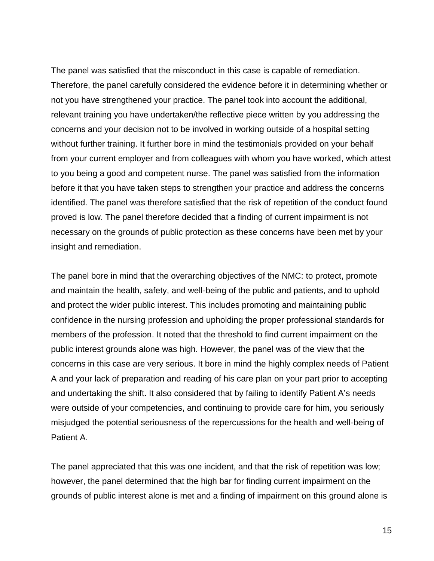The panel was satisfied that the misconduct in this case is capable of remediation. Therefore, the panel carefully considered the evidence before it in determining whether or not you have strengthened your practice. The panel took into account the additional, relevant training you have undertaken/the reflective piece written by you addressing the concerns and your decision not to be involved in working outside of a hospital setting without further training. It further bore in mind the testimonials provided on your behalf from your current employer and from colleagues with whom you have worked, which attest to you being a good and competent nurse. The panel was satisfied from the information before it that you have taken steps to strengthen your practice and address the concerns identified. The panel was therefore satisfied that the risk of repetition of the conduct found proved is low. The panel therefore decided that a finding of current impairment is not necessary on the grounds of public protection as these concerns have been met by your insight and remediation.

The panel bore in mind that the overarching objectives of the NMC: to protect, promote and maintain the health, safety, and well-being of the public and patients, and to uphold and protect the wider public interest. This includes promoting and maintaining public confidence in the nursing profession and upholding the proper professional standards for members of the profession. It noted that the threshold to find current impairment on the public interest grounds alone was high. However, the panel was of the view that the concerns in this case are very serious. It bore in mind the highly complex needs of Patient A and your lack of preparation and reading of his care plan on your part prior to accepting and undertaking the shift. It also considered that by failing to identify Patient A's needs were outside of your competencies, and continuing to provide care for him, you seriously misjudged the potential seriousness of the repercussions for the health and well-being of Patient A.

The panel appreciated that this was one incident, and that the risk of repetition was low; however, the panel determined that the high bar for finding current impairment on the grounds of public interest alone is met and a finding of impairment on this ground alone is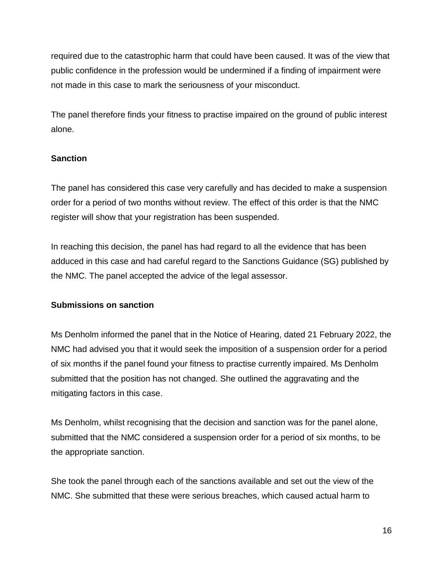required due to the catastrophic harm that could have been caused. It was of the view that public confidence in the profession would be undermined if a finding of impairment were not made in this case to mark the seriousness of your misconduct.

The panel therefore finds your fitness to practise impaired on the ground of public interest alone.

# **Sanction**

The panel has considered this case very carefully and has decided to make a suspension order for a period of two months without review. The effect of this order is that the NMC register will show that your registration has been suspended.

In reaching this decision, the panel has had regard to all the evidence that has been adduced in this case and had careful regard to the Sanctions Guidance (SG) published by the NMC. The panel accepted the advice of the legal assessor.

## **Submissions on sanction**

Ms Denholm informed the panel that in the Notice of Hearing, dated 21 February 2022, the NMC had advised you that it would seek the imposition of a suspension order for a period of six months if the panel found your fitness to practise currently impaired. Ms Denholm submitted that the position has not changed. She outlined the aggravating and the mitigating factors in this case.

Ms Denholm, whilst recognising that the decision and sanction was for the panel alone, submitted that the NMC considered a suspension order for a period of six months, to be the appropriate sanction.

She took the panel through each of the sanctions available and set out the view of the NMC. She submitted that these were serious breaches, which caused actual harm to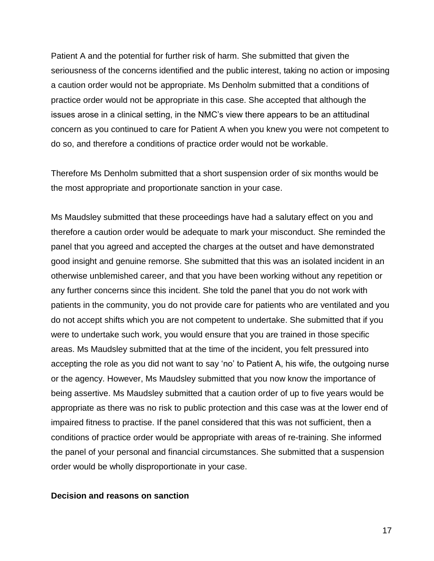Patient A and the potential for further risk of harm. She submitted that given the seriousness of the concerns identified and the public interest, taking no action or imposing a caution order would not be appropriate. Ms Denholm submitted that a conditions of practice order would not be appropriate in this case. She accepted that although the issues arose in a clinical setting, in the NMC's view there appears to be an attitudinal concern as you continued to care for Patient A when you knew you were not competent to do so, and therefore a conditions of practice order would not be workable.

Therefore Ms Denholm submitted that a short suspension order of six months would be the most appropriate and proportionate sanction in your case.

Ms Maudsley submitted that these proceedings have had a salutary effect on you and therefore a caution order would be adequate to mark your misconduct. She reminded the panel that you agreed and accepted the charges at the outset and have demonstrated good insight and genuine remorse. She submitted that this was an isolated incident in an otherwise unblemished career, and that you have been working without any repetition or any further concerns since this incident. She told the panel that you do not work with patients in the community, you do not provide care for patients who are ventilated and you do not accept shifts which you are not competent to undertake. She submitted that if you were to undertake such work, you would ensure that you are trained in those specific areas. Ms Maudsley submitted that at the time of the incident, you felt pressured into accepting the role as you did not want to say 'no' to Patient A, his wife, the outgoing nurse or the agency. However, Ms Maudsley submitted that you now know the importance of being assertive. Ms Maudsley submitted that a caution order of up to five years would be appropriate as there was no risk to public protection and this case was at the lower end of impaired fitness to practise. If the panel considered that this was not sufficient, then a conditions of practice order would be appropriate with areas of re-training. She informed the panel of your personal and financial circumstances. She submitted that a suspension order would be wholly disproportionate in your case.

#### **Decision and reasons on sanction**

17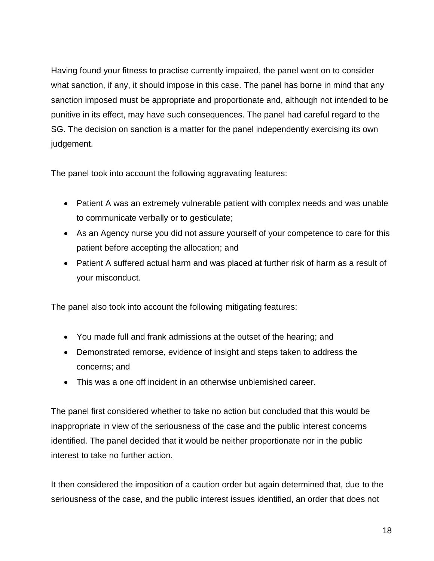Having found your fitness to practise currently impaired, the panel went on to consider what sanction, if any, it should impose in this case. The panel has borne in mind that any sanction imposed must be appropriate and proportionate and, although not intended to be punitive in its effect, may have such consequences. The panel had careful regard to the SG. The decision on sanction is a matter for the panel independently exercising its own judgement.

The panel took into account the following aggravating features:

- Patient A was an extremely vulnerable patient with complex needs and was unable to communicate verbally or to gesticulate;
- As an Agency nurse you did not assure yourself of your competence to care for this patient before accepting the allocation; and
- Patient A suffered actual harm and was placed at further risk of harm as a result of your misconduct.

The panel also took into account the following mitigating features:

- You made full and frank admissions at the outset of the hearing; and
- Demonstrated remorse, evidence of insight and steps taken to address the concerns; and
- This was a one off incident in an otherwise unblemished career.

The panel first considered whether to take no action but concluded that this would be inappropriate in view of the seriousness of the case and the public interest concerns identified. The panel decided that it would be neither proportionate nor in the public interest to take no further action.

It then considered the imposition of a caution order but again determined that, due to the seriousness of the case, and the public interest issues identified, an order that does not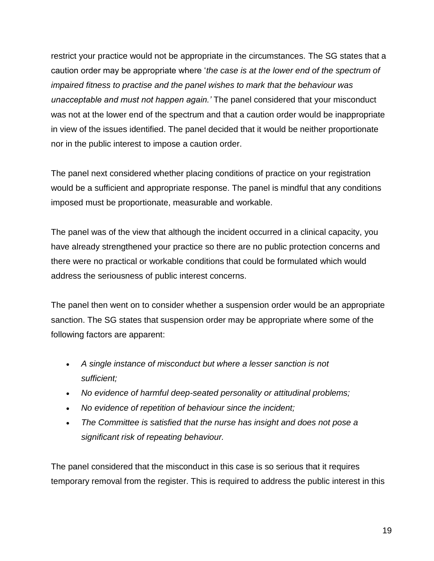restrict your practice would not be appropriate in the circumstances. The SG states that a caution order may be appropriate where '*the case is at the lower end of the spectrum of impaired fitness to practise and the panel wishes to mark that the behaviour was unacceptable and must not happen again.'* The panel considered that your misconduct was not at the lower end of the spectrum and that a caution order would be inappropriate in view of the issues identified. The panel decided that it would be neither proportionate nor in the public interest to impose a caution order.

The panel next considered whether placing conditions of practice on your registration would be a sufficient and appropriate response. The panel is mindful that any conditions imposed must be proportionate, measurable and workable.

The panel was of the view that although the incident occurred in a clinical capacity, you have already strengthened your practice so there are no public protection concerns and there were no practical or workable conditions that could be formulated which would address the seriousness of public interest concerns.

The panel then went on to consider whether a suspension order would be an appropriate sanction. The SG states that suspension order may be appropriate where some of the following factors are apparent:

- *A single instance of misconduct but where a lesser sanction is not sufficient;*
- *No evidence of harmful deep-seated personality or attitudinal problems;*
- *No evidence of repetition of behaviour since the incident;*
- *The Committee is satisfied that the nurse has insight and does not pose a significant risk of repeating behaviour.*

The panel considered that the misconduct in this case is so serious that it requires temporary removal from the register. This is required to address the public interest in this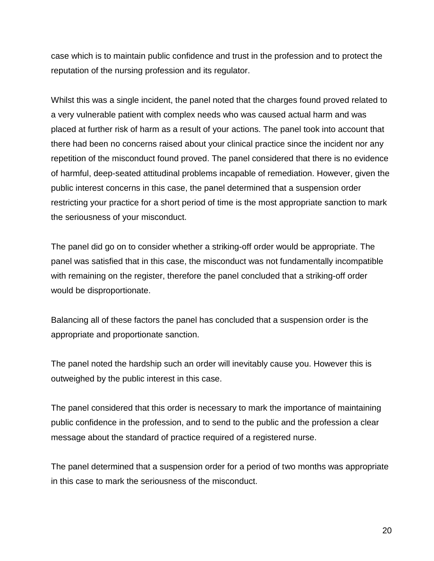case which is to maintain public confidence and trust in the profession and to protect the reputation of the nursing profession and its regulator.

Whilst this was a single incident, the panel noted that the charges found proved related to a very vulnerable patient with complex needs who was caused actual harm and was placed at further risk of harm as a result of your actions. The panel took into account that there had been no concerns raised about your clinical practice since the incident nor any repetition of the misconduct found proved. The panel considered that there is no evidence of harmful, deep-seated attitudinal problems incapable of remediation. However, given the public interest concerns in this case, the panel determined that a suspension order restricting your practice for a short period of time is the most appropriate sanction to mark the seriousness of your misconduct.

The panel did go on to consider whether a striking-off order would be appropriate. The panel was satisfied that in this case, the misconduct was not fundamentally incompatible with remaining on the register, therefore the panel concluded that a striking-off order would be disproportionate.

Balancing all of these factors the panel has concluded that a suspension order is the appropriate and proportionate sanction.

The panel noted the hardship such an order will inevitably cause you. However this is outweighed by the public interest in this case.

The panel considered that this order is necessary to mark the importance of maintaining public confidence in the profession, and to send to the public and the profession a clear message about the standard of practice required of a registered nurse.

The panel determined that a suspension order for a period of two months was appropriate in this case to mark the seriousness of the misconduct.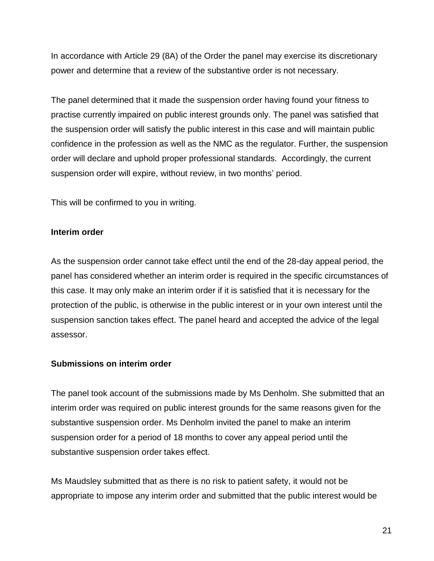In accordance with Article 29 (8A) of the Order the panel may exercise its discretionary power and determine that a review of the substantive order is not necessary.

The panel determined that it made the suspension order having found your fitness to practise currently impaired on public interest grounds only. The panel was satisfied that the suspension order will satisfy the public interest in this case and will maintain public confidence in the profession as well as the NMC as the regulator. Further, the suspension order will declare and uphold proper professional standards. Accordingly, the current suspension order will expire, without review, in two months' period.

This will be confirmed to you in writing.

### **Interim order**

As the suspension order cannot take effect until the end of the 28-day appeal period, the panel has considered whether an interim order is required in the specific circumstances of this case. It may only make an interim order if it is satisfied that it is necessary for the protection of the public, is otherwise in the public interest or in your own interest until the suspension sanction takes effect. The panel heard and accepted the advice of the legal assessor.

## **Submissions on interim order**

The panel took account of the submissions made by Ms Denholm. She submitted that an interim order was required on public interest grounds for the same reasons given for the substantive suspension order. Ms Denholm invited the panel to make an interim suspension order for a period of 18 months to cover any appeal period until the substantive suspension order takes effect.

Ms Maudsley submitted that as there is no risk to patient safety, it would not be appropriate to impose any interim order and submitted that the public interest would be